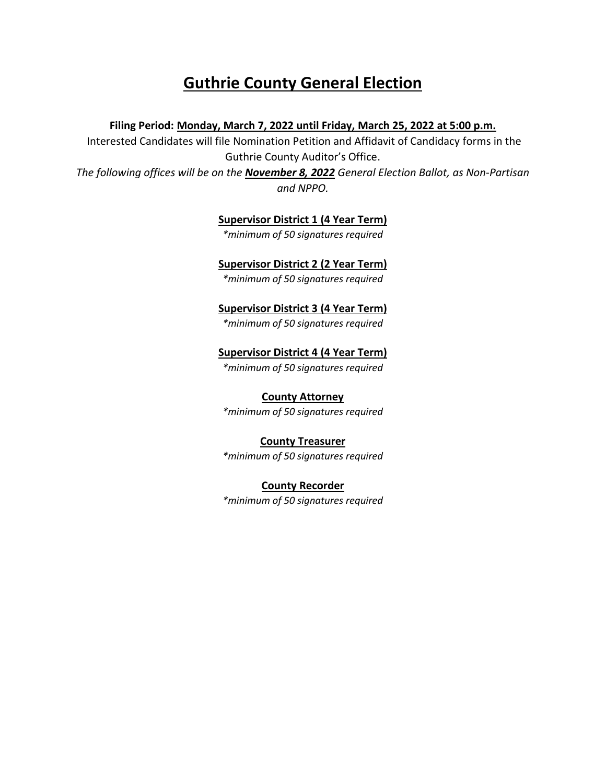# **Guthrie County General Election**

# **Filing Period: Monday, March 7, 2022 until Friday, March 25, 2022 at 5:00 p.m.**

Interested Candidates will file Nomination Petition and Affidavit of Candidacy forms in the Guthrie County Auditor's Office.

*The following offices will be on the November 8, 2022 General Election Ballot, as Non-Partisan and NPPO.* 

## **Supervisor District 1 (4 Year Term)**

*\*minimum of 50 signatures required* 

# **Supervisor District 2 (2 Year Term)**

*\*minimum of 50 signatures required* 

# **Supervisor District 3 (4 Year Term)**

*\*minimum of 50 signatures required* 

# **Supervisor District 4 (4 Year Term)**

*\*minimum of 50 signatures required* 

# **County Attorney**

*\*minimum of 50 signatures required* 

## **County Treasurer**

*\*minimum of 50 signatures required* 

**County Recorder** *\*minimum of 50 signatures required*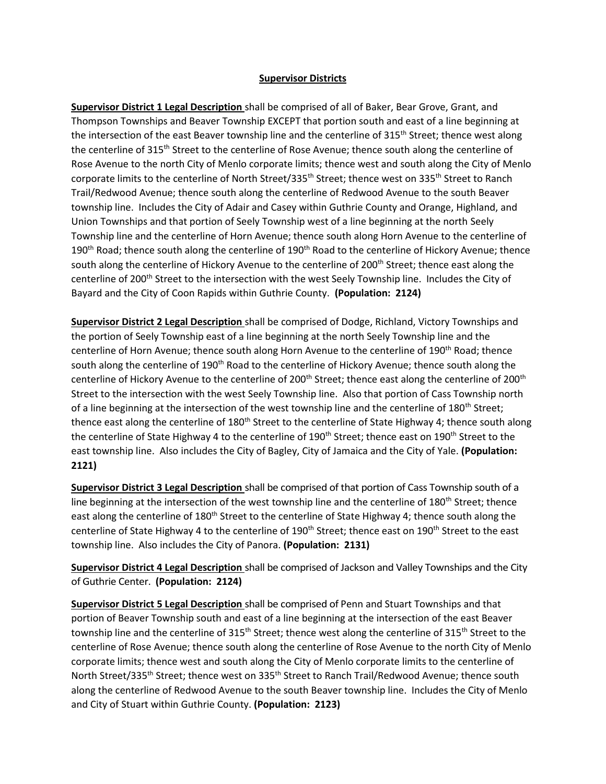### **Supervisor Districts**

**Supervisor District 1 Legal Description** shall be comprised of all of Baker, Bear Grove, Grant, and Thompson Townships and Beaver Township EXCEPT that portion south and east of a line beginning at the intersection of the east Beaver township line and the centerline of 315<sup>th</sup> Street; thence west along the centerline of 315<sup>th</sup> Street to the centerline of Rose Avenue; thence south along the centerline of Rose Avenue to the north City of Menlo corporate limits; thence west and south along the City of Menlo corporate limits to the centerline of North Street/335<sup>th</sup> Street; thence west on 335<sup>th</sup> Street to Ranch Trail/Redwood Avenue; thence south along the centerline of Redwood Avenue to the south Beaver township line. Includes the City of Adair and Casey within Guthrie County and Orange, Highland, and Union Townships and that portion of Seely Township west of a line beginning at the north Seely Township line and the centerline of Horn Avenue; thence south along Horn Avenue to the centerline of 190<sup>th</sup> Road; thence south along the centerline of 190<sup>th</sup> Road to the centerline of Hickory Avenue; thence south along the centerline of Hickory Avenue to the centerline of 200<sup>th</sup> Street; thence east along the centerline of 200<sup>th</sup> Street to the intersection with the west Seely Township line. Includes the City of Bayard and the City of Coon Rapids within Guthrie County. **(Population: 2124)**

**Supervisor District 2 Legal Description** shall be comprised of Dodge, Richland, Victory Townships and the portion of Seely Township east of a line beginning at the north Seely Township line and the centerline of Horn Avenue; thence south along Horn Avenue to the centerline of 190<sup>th</sup> Road; thence south along the centerline of 190<sup>th</sup> Road to the centerline of Hickory Avenue; thence south along the centerline of Hickory Avenue to the centerline of 200<sup>th</sup> Street; thence east along the centerline of 200<sup>th</sup> Street to the intersection with the west Seely Township line. Also that portion of Cass Township north of a line beginning at the intersection of the west township line and the centerline of 180<sup>th</sup> Street; thence east along the centerline of 180<sup>th</sup> Street to the centerline of State Highway 4; thence south along the centerline of State Highway 4 to the centerline of 190<sup>th</sup> Street; thence east on 190<sup>th</sup> Street to the east township line. Also includes the City of Bagley, City of Jamaica and the City of Yale. **(Population: 2121)**

**Supervisor District 3 Legal Description** shall be comprised of that portion of Cass Township south of a line beginning at the intersection of the west township line and the centerline of 180<sup>th</sup> Street; thence east along the centerline of 180<sup>th</sup> Street to the centerline of State Highway 4; thence south along the centerline of State Highway 4 to the centerline of 190<sup>th</sup> Street; thence east on 190<sup>th</sup> Street to the east township line. Also includes the City of Panora. **(Population: 2131)**

**Supervisor District 4 Legal Description** shall be comprised of Jackson and Valley Townships and the City of Guthrie Center. **(Population: 2124)**

**Supervisor District 5 Legal Description** shall be comprised of Penn and Stuart Townships and that portion of Beaver Township south and east of a line beginning at the intersection of the east Beaver township line and the centerline of 315<sup>th</sup> Street; thence west along the centerline of 315<sup>th</sup> Street to the centerline of Rose Avenue; thence south along the centerline of Rose Avenue to the north City of Menlo corporate limits; thence west and south along the City of Menlo corporate limits to the centerline of North Street/335<sup>th</sup> Street; thence west on 335<sup>th</sup> Street to Ranch Trail/Redwood Avenue; thence south along the centerline of Redwood Avenue to the south Beaver township line. Includes the City of Menlo and City of Stuart within Guthrie County. **(Population: 2123)**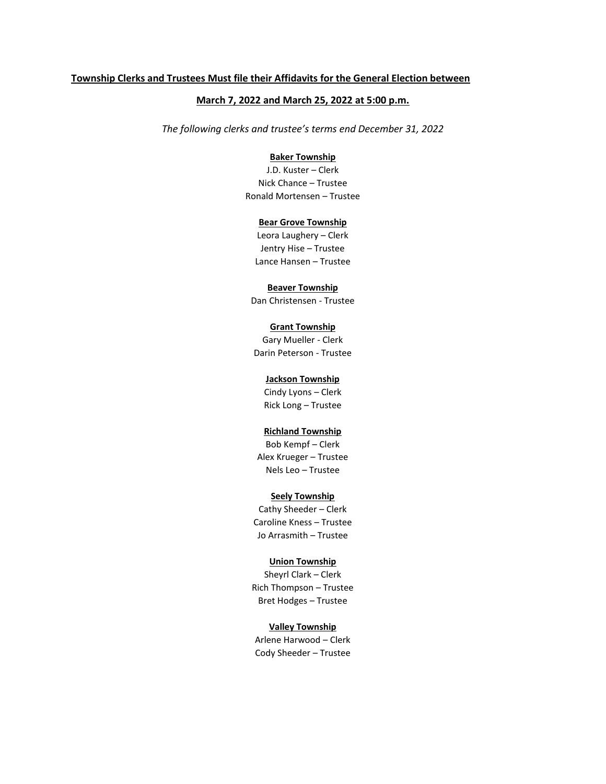#### **Township Clerks and Trustees Must file their Affidavits for the General Election between**

### **March 7, 2022 and March 25, 2022 at 5:00 p.m.**

*The following clerks and trustee's terms end December 31, 2022*

#### **Baker Township**

J.D. Kuster – Clerk Nick Chance – Trustee Ronald Mortensen – Trustee

#### **Bear Grove Township**

Leora Laughery – Clerk Jentry Hise – Trustee Lance Hansen – Trustee

#### **Beaver Township**

Dan Christensen - Trustee

### **Grant Township**

Gary Mueller - Clerk Darin Peterson - Trustee

#### **Jackson Township**

Cindy Lyons – Clerk Rick Long – Trustee

#### **Richland Township**

Bob Kempf – Clerk Alex Krueger – Trustee Nels Leo – Trustee

#### **Seely Township**

Cathy Sheeder – Clerk Caroline Kness – Trustee Jo Arrasmith – Trustee

#### **Union Township**

Sheyrl Clark – Clerk Rich Thompson – Trustee Bret Hodges – Trustee

#### **Valley Township**

Arlene Harwood – Clerk Cody Sheeder – Trustee